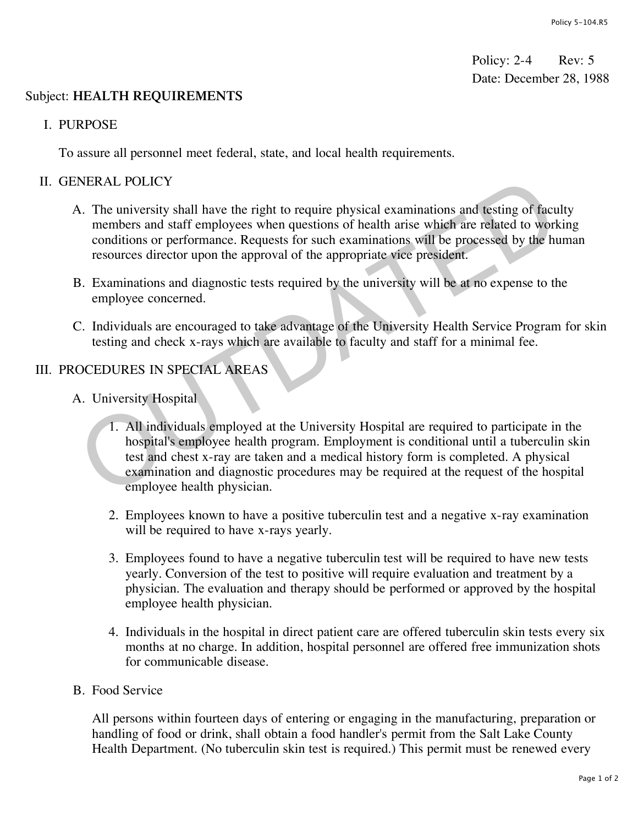Policy: 2-4 Rev: 5 Date: December 28, 1988

## Subject: **HEALTH REQUIREMENTS**

I. PURPOSE

To assure all personnel meet federal, state, and local health requirements.

## II. GENERAL POLICY

- A. The university shall have the right to require physical examinations and testing of faculty members and staff employees when questions of health arise which are related to working conditions or performance. Requests for such examinations will be processed by the human resources director upon the approval of the appropriate vice president.
- B. Examinations and diagnostic tests required by the university will be at no expense to the employee concerned.
- C. Individuals are encouraged to take advantage of the University Health Service Program for skin testing and check x-rays which are available to faculty and staff for a minimal fee.

## III. PROCEDURES IN SPECIAL AREAS

- A. University Hospital
- 1. All individuals employed at the University Hospital are required to participate in the hospital's employee health program. Employment is conditional until a tuberculin skin test and chest x-ray are taken and a medical history form is completed. A physical examination and diagnostic procedures may be required at the request of the hospital employee health physician. NERAL POLICY<br>
A. The university shall have the right to require physical examinations and testing of facurembers and staff employees when questions of health arise which are related to work<br>
conditions or performance. Requ
	- 2. Employees known to have a positive tuberculin test and a negative x-ray examination will be required to have x-rays yearly.
	- 3. Employees found to have a negative tuberculin test will be required to have new tests yearly. Conversion of the test to positive will require evaluation and treatment by a physician. The evaluation and therapy should be performed or approved by the hospital employee health physician.
	- 4. Individuals in the hospital in direct patient care are offered tuberculin skin tests every six months at no charge. In addition, hospital personnel are offered free immunization shots for communicable disease.
- B. Food Service

All persons within fourteen days of entering or engaging in the manufacturing, preparation or handling of food or drink, shall obtain a food handler's permit from the Salt Lake County Health Department. (No tuberculin skin test is required.) This permit must be renewed every